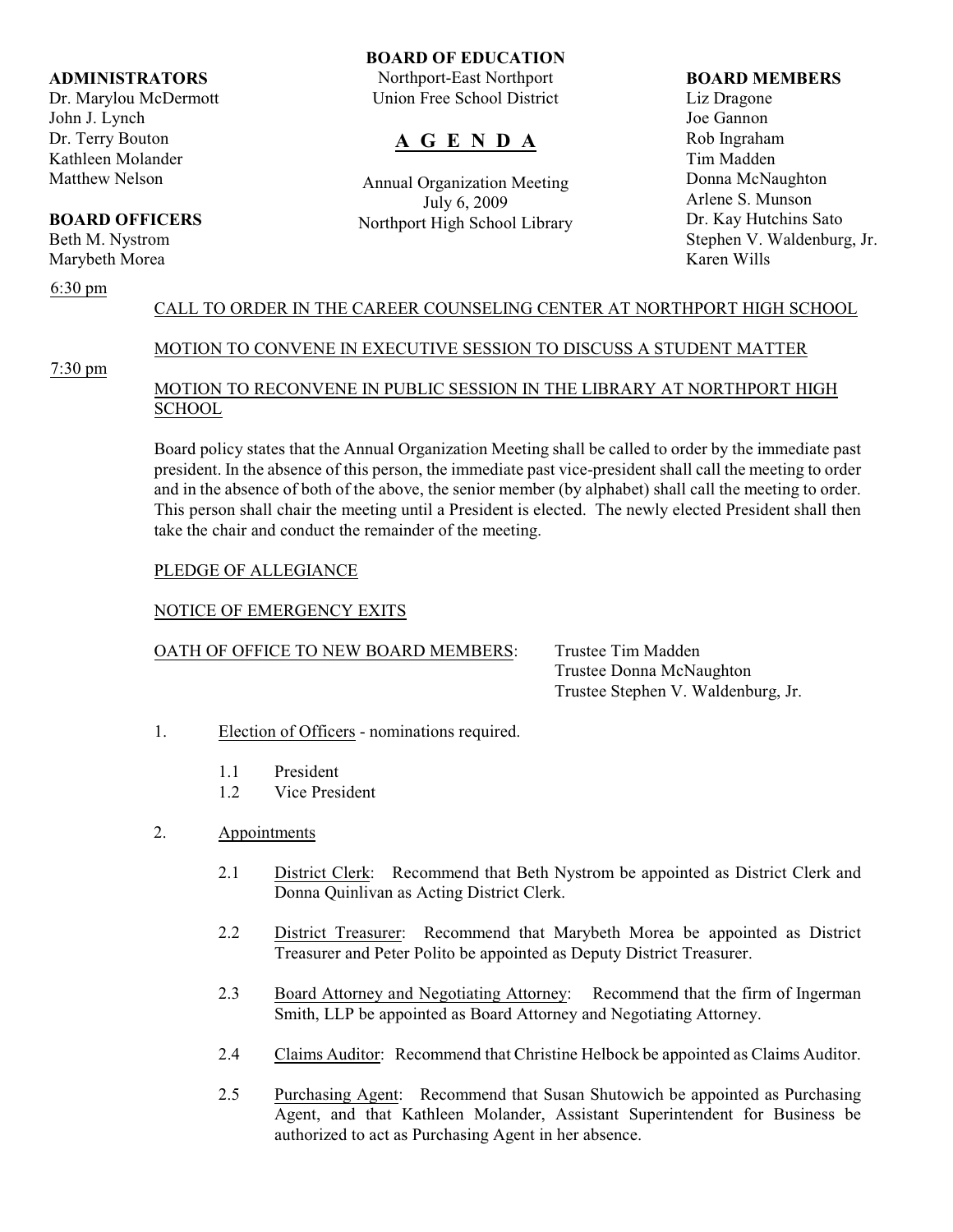#### **ADMINISTRATORS**

Dr. Marylou McDermott John J. Lynch Dr. Terry Bouton Kathleen Molander Matthew Nelson

# **BOARD OFFICERS**

Beth M. Nystrom Marybeth Morea

#### 6:30 pm

# **BOARD OF EDUCATION**

Northport-East Northport Union Free School District

# **A G E N D A**

Annual Organization Meeting July 6, 2009 Northport High School Library

#### **BOARD MEMBERS**

Liz Dragone Joe Gannon Rob Ingraham Tim Madden Donna McNaughton Arlene S. Munson Dr. Kay Hutchins Sato Stephen V. Waldenburg, Jr. Karen Wills

# CALL TO ORDER IN THE CAREER COUNSELING CENTER AT NORTHPORT HIGH SCHOOL

# MOTION TO CONVENE IN EXECUTIVE SESSION TO DISCUSS A STUDENT MATTER

7:30 pm

# MOTION TO RECONVENE IN PUBLIC SESSION IN THE LIBRARY AT NORTHPORT HIGH **SCHOOL**

Board policy states that the Annual Organization Meeting shall be called to order by the immediate past president. In the absence of this person, the immediate past vice-president shall call the meeting to order and in the absence of both of the above, the senior member (by alphabet) shall call the meeting to order. This person shall chair the meeting until a President is elected. The newly elected President shall then take the chair and conduct the remainder of the meeting.

### PLEDGE OF ALLEGIANCE

# NOTICE OF EMERGENCY EXITS

# OATH OF OFFICE TO NEW BOARD MEMBERS: Trustee Tim Madden

Trustee Donna McNaughton Trustee Stephen V. Waldenburg, Jr.

- 1. Election of Officers nominations required.
	- 1.1 President
	- 1.2 Vice President
- 2. Appointments
	- 2.1 District Clerk: Recommend that Beth Nystrom be appointed as District Clerk and Donna Quinlivan as Acting District Clerk.
	- 2.2 District Treasurer: Recommend that Marybeth Morea be appointed as District Treasurer and Peter Polito be appointed as Deputy District Treasurer.
	- 2.3 Board Attorney and Negotiating Attorney: Recommend that the firm of Ingerman Smith, LLP be appointed as Board Attorney and Negotiating Attorney.
	- 2.4 Claims Auditor: Recommend that Christine Helbock be appointed as Claims Auditor.
	- 2.5 Purchasing Agent: Recommend that Susan Shutowich be appointed as Purchasing Agent, and that Kathleen Molander, Assistant Superintendent for Business be authorized to act as Purchasing Agent in her absence.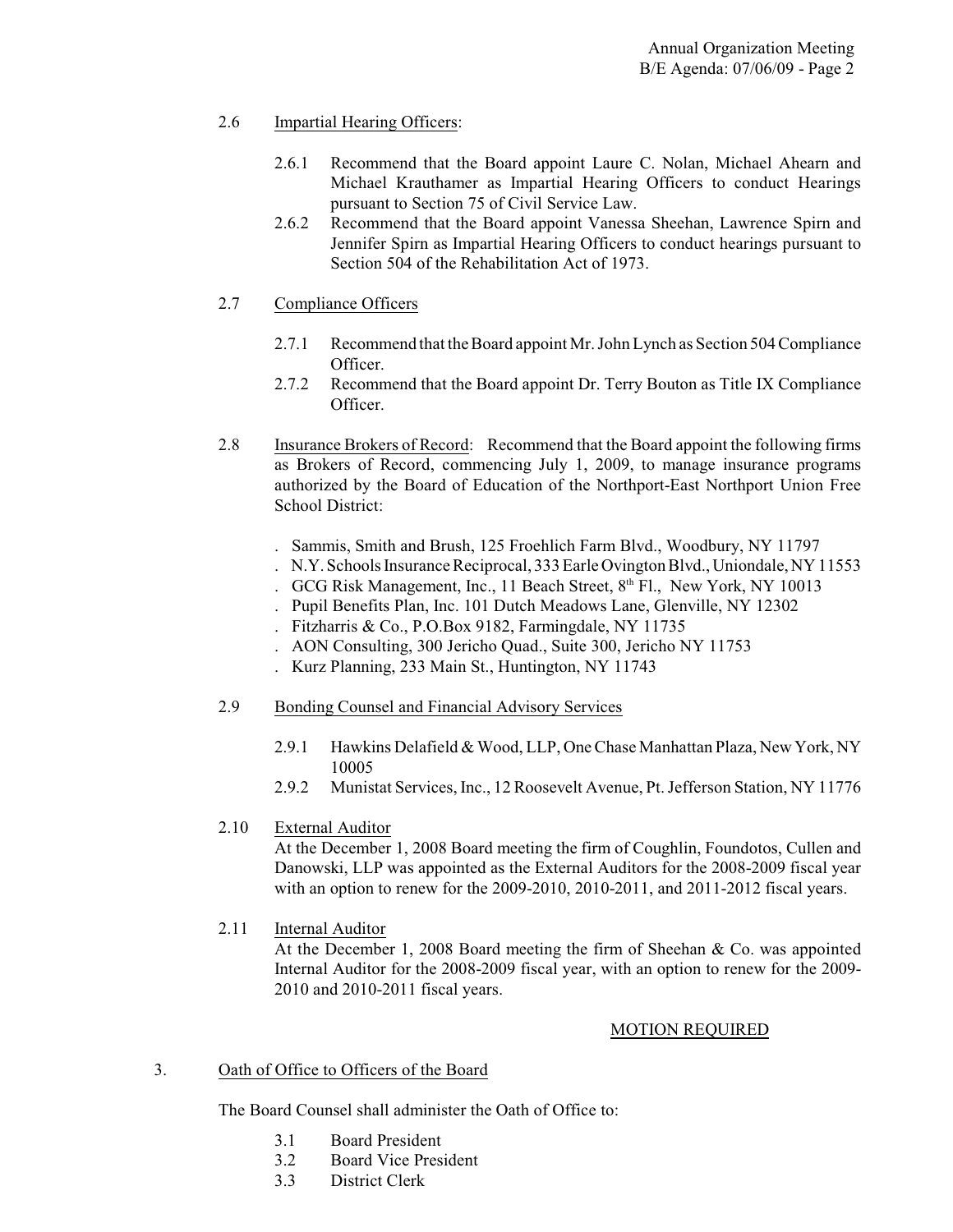# 2.6 Impartial Hearing Officers:

- 2.6.1 Recommend that the Board appoint Laure C. Nolan, Michael Ahearn and Michael Krauthamer as Impartial Hearing Officers to conduct Hearings pursuant to Section 75 of Civil Service Law.
- 2.6.2 Recommend that the Board appoint Vanessa Sheehan, Lawrence Spirn and Jennifer Spirn as Impartial Hearing Officers to conduct hearings pursuant to Section 504 of the Rehabilitation Act of 1973.

# 2.7 Compliance Officers

- 2.7.1 Recommend that the Board appoint Mr. John Lynch as Section 504 Compliance Officer.
- 2.7.2 Recommend that the Board appoint Dr. Terry Bouton as Title IX Compliance Officer.
- 2.8 Insurance Brokers of Record: Recommend that the Board appoint the following firms as Brokers of Record, commencing July 1, 2009, to manage insurance programs authorized by the Board of Education of the Northport-East Northport Union Free School District:
	- . Sammis, Smith and Brush, 125 Froehlich Farm Blvd., Woodbury, NY 11797
	- . N.Y.Schools Insurance Reciprocal, 333 Earle Ovington Blvd.,Uniondale,NY 11553
	- . GCG Risk Management, Inc., 11 Beach Street, 8th Fl., New York, NY 10013
	- . Pupil Benefits Plan, Inc. 101 Dutch Meadows Lane, Glenville, NY 12302
	- . Fitzharris & Co., P.O.Box 9182, Farmingdale, NY 11735
	- . AON Consulting, 300 Jericho Quad., Suite 300, Jericho NY 11753
	- . Kurz Planning, 233 Main St., Huntington, NY 11743
- 2.9 Bonding Counsel and Financial Advisory Services
	- 2.9.1 Hawkins Delafield & Wood, LLP, One Chase Manhattan Plaza, New York, NY 10005
	- 2.9.2 Munistat Services, Inc., 12 Roosevelt Avenue, Pt. Jefferson Station, NY 11776

# 2.10 External Auditor

At the December 1, 2008 Board meeting the firm of Coughlin, Foundotos, Cullen and Danowski, LLP was appointed as the External Auditors for the 2008-2009 fiscal year with an option to renew for the 2009-2010, 2010-2011, and 2011-2012 fiscal years.

2.11 Internal Auditor

At the December 1, 2008 Board meeting the firm of Sheehan & Co. was appointed Internal Auditor for the 2008-2009 fiscal year, with an option to renew for the 2009- 2010 and 2010-2011 fiscal years.

# MOTION REQUIRED

# 3. Oath of Office to Officers of the Board

The Board Counsel shall administer the Oath of Office to:

- 3.1 Board President
- 3.2 Board Vice President
- 3.3 District Clerk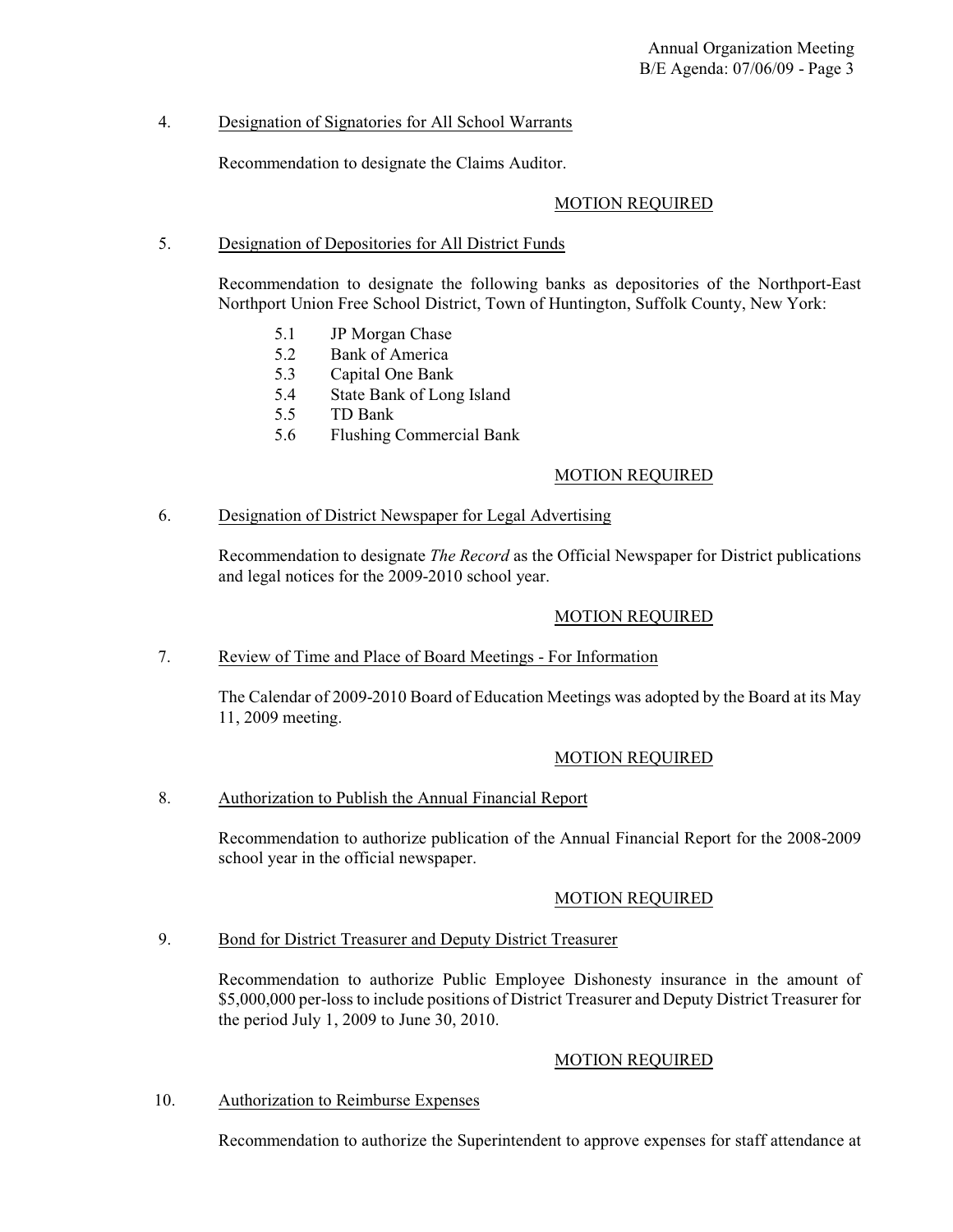# 4. Designation of Signatories for All School Warrants

Recommendation to designate the Claims Auditor.

### MOTION REQUIRED

# 5. Designation of Depositories for All District Funds

Recommendation to designate the following banks as depositories of the Northport-East Northport Union Free School District, Town of Huntington, Suffolk County, New York:

- 5.1 JP Morgan Chase
- 5.2 Bank of America
- 5.3 Capital One Bank
- 5.4 State Bank of Long Island
- 5.5 TD Bank
- 5.6 Flushing Commercial Bank

# MOTION REQUIRED

### 6. Designation of District Newspaper for Legal Advertising

Recommendation to designate *The Record* as the Official Newspaper for District publications and legal notices for the 2009-2010 school year.

# MOTION REQUIRED

# 7. Review of Time and Place of Board Meetings - For Information

The Calendar of 2009-2010 Board of Education Meetings was adopted by the Board at its May 11, 2009 meeting.

# MOTION REQUIRED

# 8. Authorization to Publish the Annual Financial Report

Recommendation to authorize publication of the Annual Financial Report for the 2008-2009 school year in the official newspaper.

# MOTION REQUIRED

# 9. Bond for District Treasurer and Deputy District Treasurer

Recommendation to authorize Public Employee Dishonesty insurance in the amount of \$5,000,000 per-loss to include positions of District Treasurer and Deputy District Treasurer for the period July 1, 2009 to June 30, 2010.

# MOTION REQUIRED

# 10. Authorization to Reimburse Expenses

Recommendation to authorize the Superintendent to approve expenses for staff attendance at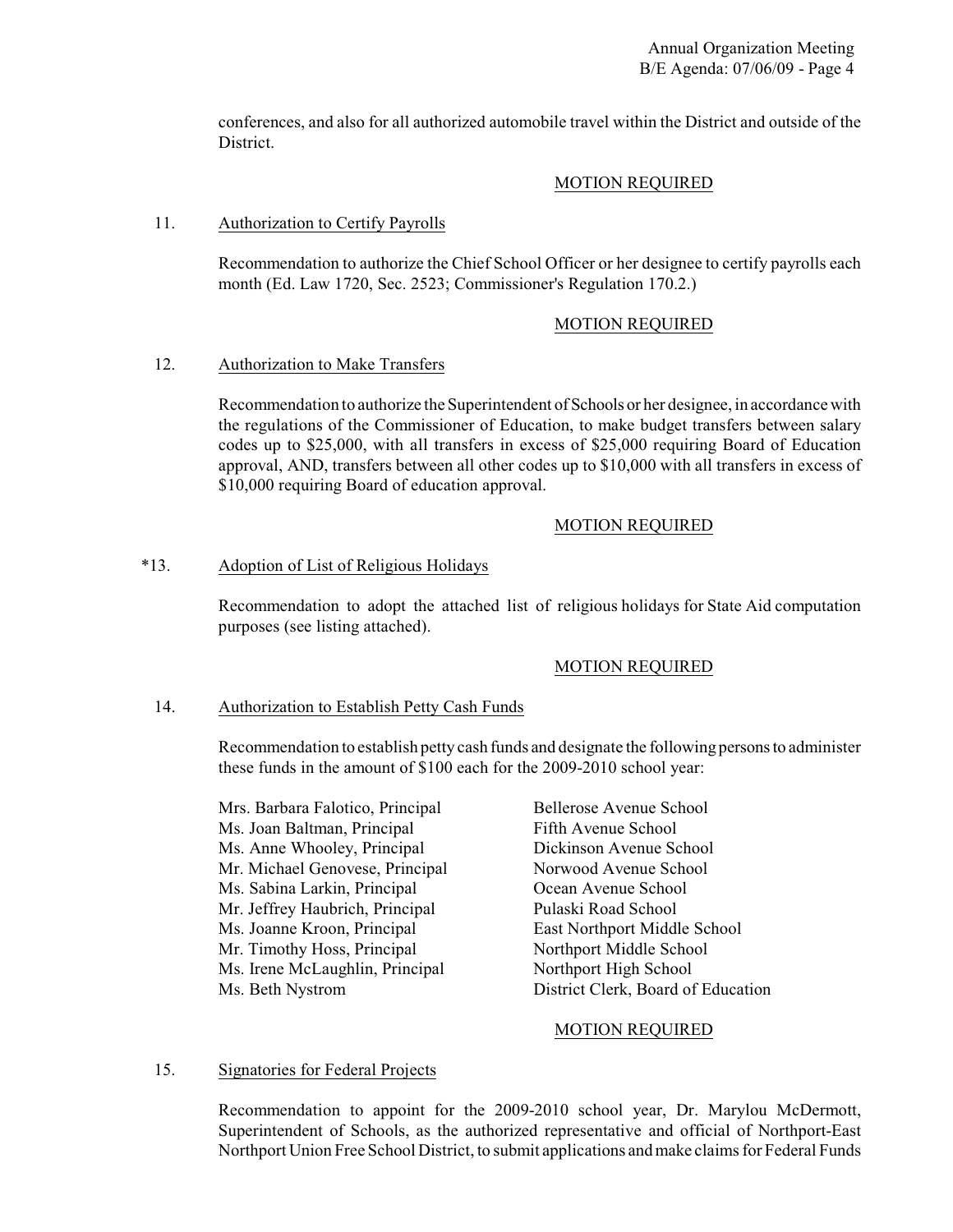conferences, and also for all authorized automobile travel within the District and outside of the District.

### MOTION REQUIRED

### 11. Authorization to Certify Payrolls

Recommendation to authorize the Chief School Officer or her designee to certify payrolls each month (Ed. Law 1720, Sec. 2523; Commissioner's Regulation 170.2.)

### MOTION REQUIRED

### 12. Authorization to Make Transfers

Recommendation to authorize the Superintendent of Schools or her designee, in accordance with the regulations of the Commissioner of Education, to make budget transfers between salary codes up to \$25,000, with all transfers in excess of \$25,000 requiring Board of Education approval, AND, transfers between all other codes up to \$10,000 with all transfers in excess of \$10,000 requiring Board of education approval.

# MOTION REQUIRED

### \*13. Adoption of List of Religious Holidays

Recommendation to adopt the attached list of religious holidays for State Aid computation purposes (see listing attached).

# MOTION REQUIRED

#### 14. Authorization to Establish Petty Cash Funds

Recommendation to establish petty cash funds and designate the following persons to administer these funds in the amount of \$100 each for the 2009-2010 school year:

| Mrs. Barbara Falotico, Principal |
|----------------------------------|
| Ms. Joan Baltman, Principal      |
| Ms. Anne Whooley, Principal      |
| Mr. Michael Genovese, Principal  |
| Ms. Sabina Larkin, Principal     |
| Mr. Jeffrey Haubrich, Principal  |
| Ms. Joanne Kroon, Principal      |
| Mr. Timothy Hoss, Principal      |
| Ms. Irene McLaughlin, Principal  |
| Ms. Beth Nystrom                 |

Bellerose Avenue School Fifth Avenue School Dickinson Avenue School Norwood Avenue School Ocean Avenue School Pulaski Road School East Northport Middle School Northport Middle School Northport High School District Clerk, Board of Education

#### MOTION REQUIRED

# 15. Signatories for Federal Projects

Recommendation to appoint for the 2009-2010 school year, Dr. Marylou McDermott, Superintendent of Schools, as the authorized representative and official of Northport-East Northport Union Free School District, to submit applications and make claims for Federal Funds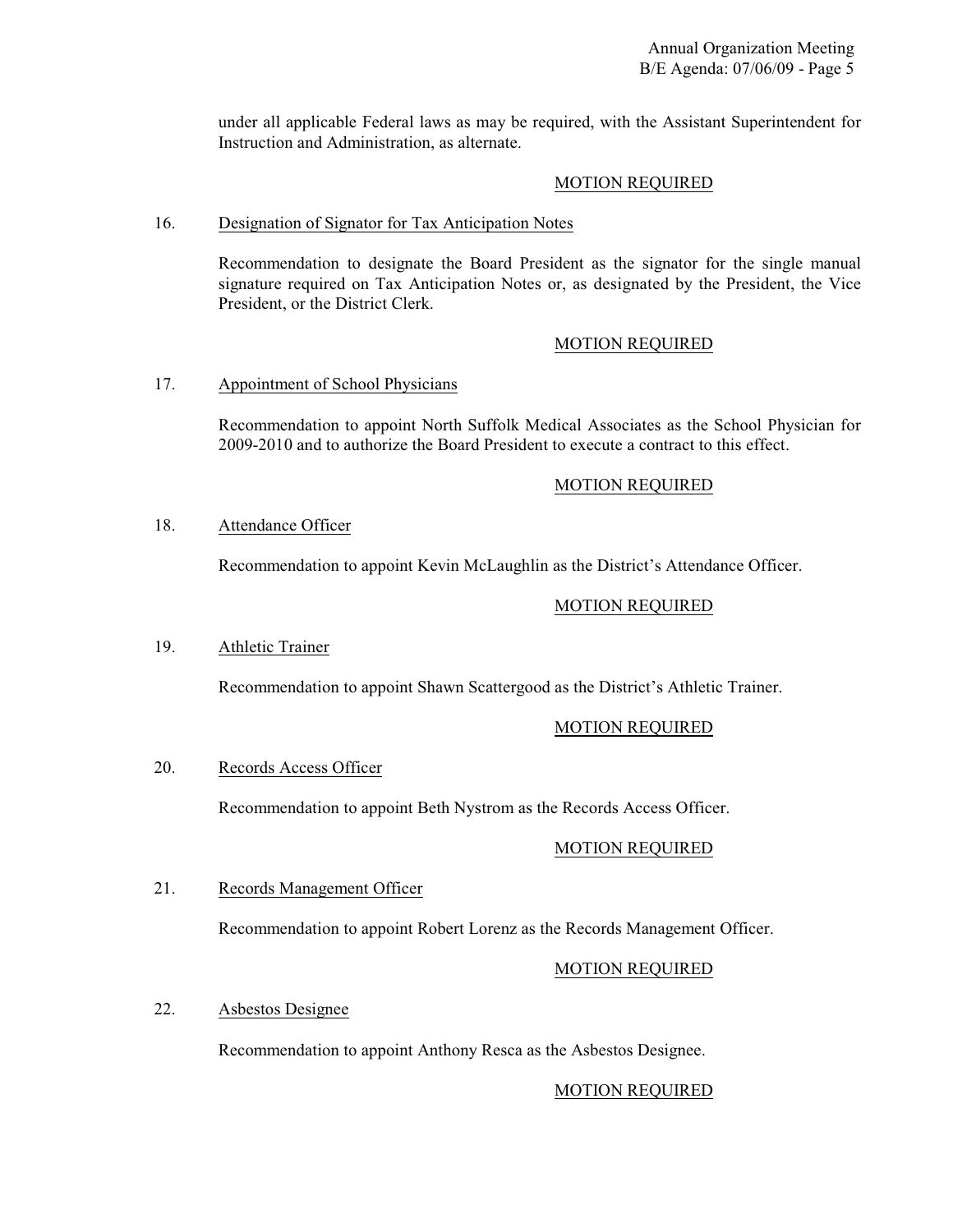under all applicable Federal laws as may be required, with the Assistant Superintendent for Instruction and Administration, as alternate.

#### MOTION REQUIRED

#### 16. Designation of Signator for Tax Anticipation Notes

Recommendation to designate the Board President as the signator for the single manual signature required on Tax Anticipation Notes or, as designated by the President, the Vice President, or the District Clerk.

### MOTION REQUIRED

### 17. Appointment of School Physicians

Recommendation to appoint North Suffolk Medical Associates as the School Physician for 2009-2010 and to authorize the Board President to execute a contract to this effect.

### MOTION REQUIRED

### 18. Attendance Officer

Recommendation to appoint Kevin McLaughlin as the District's Attendance Officer.

### MOTION REQUIRED

#### 19. Athletic Trainer

Recommendation to appoint Shawn Scattergood as the District's Athletic Trainer.

# MOTION REQUIRED

#### 20. Records Access Officer

Recommendation to appoint Beth Nystrom as the Records Access Officer.

#### MOTION REQUIRED

#### 21. Records Management Officer

Recommendation to appoint Robert Lorenz as the Records Management Officer.

#### MOTION REQUIRED

# 22. Asbestos Designee

Recommendation to appoint Anthony Resca as the Asbestos Designee.

# MOTION REQUIRED